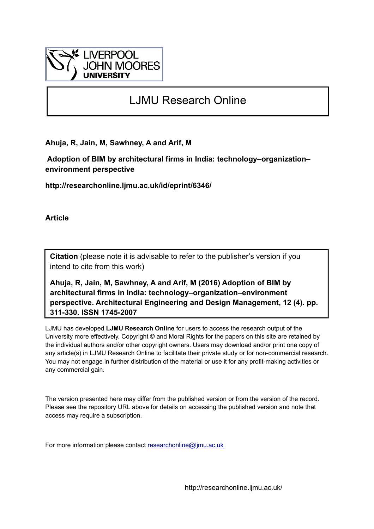

# LJMU Research Online

**Ahuja, R, Jain, M, Sawhney, A and Arif, M**

 **Adoption of BIM by architectural firms in India: technology–organization– environment perspective**

**http://researchonline.ljmu.ac.uk/id/eprint/6346/**

**Article**

**Citation** (please note it is advisable to refer to the publisher's version if you intend to cite from this work)

**Ahuja, R, Jain, M, Sawhney, A and Arif, M (2016) Adoption of BIM by architectural firms in India: technology–organization–environment perspective. Architectural Engineering and Design Management, 12 (4). pp. 311-330. ISSN 1745-2007** 

LJMU has developed **[LJMU Research Online](http://researchonline.ljmu.ac.uk/)** for users to access the research output of the University more effectively. Copyright © and Moral Rights for the papers on this site are retained by the individual authors and/or other copyright owners. Users may download and/or print one copy of any article(s) in LJMU Research Online to facilitate their private study or for non-commercial research. You may not engage in further distribution of the material or use it for any profit-making activities or any commercial gain.

The version presented here may differ from the published version or from the version of the record. Please see the repository URL above for details on accessing the published version and note that access may require a subscription.

For more information please contact [researchonline@ljmu.ac.uk](mailto:researchonline@ljmu.ac.uk)

http://researchonline.ljmu.ac.uk/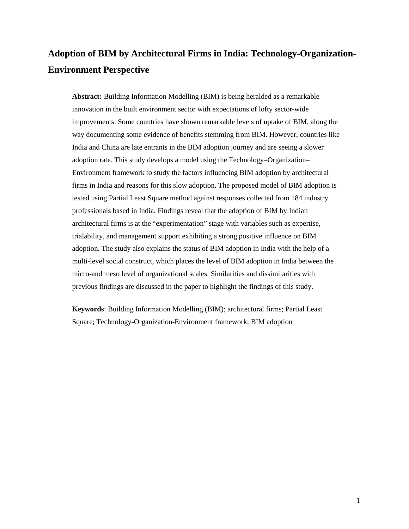# **Adoption of BIM by Architectural Firms in India: Technology-Organization-Environment Perspective**

**Abstract:** Building Information Modelling (BIM) is being heralded as a remarkable innovation in the built environment sector with expectations of lofty sector-wide improvements. Some countries have shown remarkable levels of uptake of BIM, along the way documenting some evidence of benefits stemming from BIM. However, countries like India and China are late entrants in the BIM adoption journey and are seeing a slower adoption rate. This study develops a model using the Technology–Organization– Environment framework to study the factors influencing BIM adoption by architectural firms in India and reasons for this slow adoption. The proposed model of BIM adoption is tested using Partial Least Square method against responses collected from 184 industry professionals based in India. Findings reveal that the adoption of BIM by Indian architectural firms is at the "experimentation" stage with variables such as expertise, trialability, and management support exhibiting a strong positive influence on BIM adoption. The study also explains the status of BIM adoption in India with the help of a multi-level social construct, which places the level of BIM adoption in India between the micro-and meso level of organizational scales. Similarities and dissimilarities with previous findings are discussed in the paper to highlight the findings of this study.

**Keywords**: Building Information Modelling (BIM); architectural firms; Partial Least Square; Technology-Organization-Environment framework; BIM adoption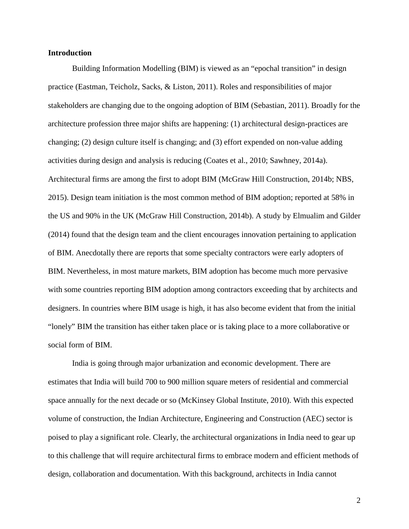#### **Introduction**

Building Information Modelling (BIM) is viewed as an "epochal transition" in design practice (Eastman, Teicholz, Sacks, & Liston, 2011). Roles and responsibilities of major stakeholders are changing due to the ongoing adoption of BIM (Sebastian, 2011). Broadly for the architecture profession three major shifts are happening: (1) architectural design-practices are changing; (2) design culture itself is changing; and (3) effort expended on non-value adding activities during design and analysis is reducing (Coates et al., 2010; Sawhney, 2014a). Architectural firms are among the first to adopt BIM (McGraw Hill Construction, 2014b; NBS, 2015). Design team initiation is the most common method of BIM adoption; reported at 58% in the US and 90% in the UK (McGraw Hill Construction, 2014b). A study by Elmualim and Gilder (2014) found that the design team and the client encourages innovation pertaining to application of BIM. Anecdotally there are reports that some specialty contractors were early adopters of BIM. Nevertheless, in most mature markets, BIM adoption has become much more pervasive with some countries reporting BIM adoption among contractors exceeding that by architects and designers. In countries where BIM usage is high, it has also become evident that from the initial "lonely" BIM the transition has either taken place or is taking place to a more collaborative or social form of BIM.

India is going through major urbanization and economic development. There are estimates that India will build 700 to 900 million square meters of residential and commercial space annually for the next decade or so (McKinsey Global Institute, 2010). With this expected volume of construction, the Indian Architecture, Engineering and Construction (AEC) sector is poised to play a significant role. Clearly, the architectural organizations in India need to gear up to this challenge that will require architectural firms to embrace modern and efficient methods of design, collaboration and documentation. With this background, architects in India cannot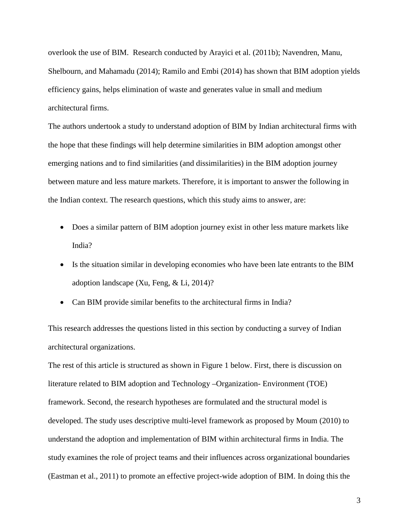overlook the use of BIM. Research conducted by Arayici et al. (2011b); Navendren, Manu, Shelbourn, and Mahamadu (2014); Ramilo and Embi (2014) has shown that BIM adoption yields efficiency gains, helps elimination of waste and generates value in small and medium architectural firms.

The authors undertook a study to understand adoption of BIM by Indian architectural firms with the hope that these findings will help determine similarities in BIM adoption amongst other emerging nations and to find similarities (and dissimilarities) in the BIM adoption journey between mature and less mature markets. Therefore, it is important to answer the following in the Indian context. The research questions, which this study aims to answer, are:

- Does a similar pattern of BIM adoption journey exist in other less mature markets like India?
- Is the situation similar in developing economies who have been late entrants to the BIM adoption landscape (Xu, Feng, & Li, 2014)?
- Can BIM provide similar benefits to the architectural firms in India?

This research addresses the questions listed in this section by conducting a survey of Indian architectural organizations.

The rest of this article is structured as shown in [Figure 1](#page-4-0) below. First, there is discussion on literature related to BIM adoption and Technology –Organization- Environment (TOE) framework. Second, the research hypotheses are formulated and the structural model is developed. The study uses descriptive multi-level framework as proposed by Moum (2010) to understand the adoption and implementation of BIM within architectural firms in India. The study examines the role of project teams and their influences across organizational boundaries (Eastman et al., 2011) to promote an effective project-wide adoption of BIM. In doing this the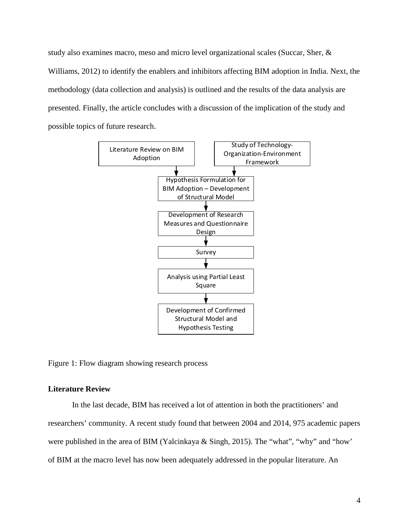study also examines macro, meso and micro level organizational scales (Succar, Sher, & Williams, 2012) to identify the enablers and inhibitors affecting BIM adoption in India. Next, the methodology (data collection and analysis) is outlined and the results of the data analysis are presented. Finally, the article concludes with a discussion of the implication of the study and possible topics of future research.



<span id="page-4-0"></span>Figure 1: Flow diagram showing research process

### **Literature Review**

In the last decade, BIM has received a lot of attention in both the practitioners' and researchers' community. A recent study found that between 2004 and 2014, 975 academic papers were published in the area of BIM (Yalcinkaya & Singh, 2015). The "what", "why" and "how' of BIM at the macro level has now been adequately addressed in the popular literature. An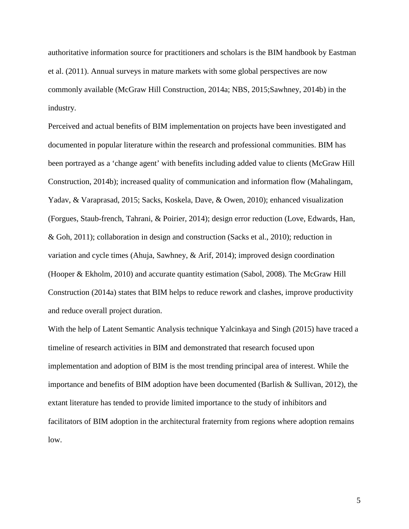authoritative information source for practitioners and scholars is the BIM handbook by Eastman et al. (2011). Annual surveys in mature markets with some global perspectives are now commonly available (McGraw Hill Construction, 2014a; NBS, 2015;Sawhney, 2014b) in the industry.

Perceived and actual benefits of BIM implementation on projects have been investigated and documented in popular literature within the research and professional communities. BIM has been portrayed as a 'change agent' with benefits including added value to clients (McGraw Hill Construction, 2014b); increased quality of communication and information flow (Mahalingam, Yadav, & Varaprasad, 2015; Sacks, Koskela, Dave, & Owen, 2010); enhanced visualization (Forgues, Staub-french, Tahrani, & Poirier, 2014); design error reduction (Love, Edwards, Han, & Goh, 2011); collaboration in design and construction (Sacks et al., 2010); reduction in variation and cycle times (Ahuja, Sawhney, & Arif, 2014); improved design coordination (Hooper & Ekholm, 2010) and accurate quantity estimation (Sabol, 2008). The McGraw Hill Construction (2014a) states that BIM helps to reduce rework and clashes, improve productivity and reduce overall project duration.

With the help of Latent Semantic Analysis technique Yalcinkaya and Singh (2015) have traced a timeline of research activities in BIM and demonstrated that research focused upon implementation and adoption of BIM is the most trending principal area of interest. While the importance and benefits of BIM adoption have been documented (Barlish & Sullivan, 2012), the extant literature has tended to provide limited importance to the study of inhibitors and facilitators of BIM adoption in the architectural fraternity from regions where adoption remains low.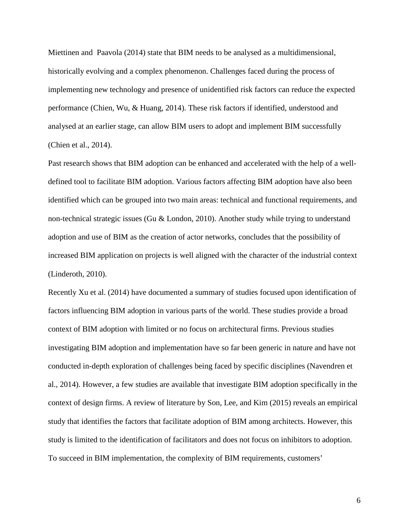Miettinen and Paavola (2014) state that BIM needs to be analysed as a multidimensional, historically evolving and a complex phenomenon. Challenges faced during the process of implementing new technology and presence of unidentified risk factors can reduce the expected performance (Chien, Wu, & Huang, 2014). These risk factors if identified, understood and analysed at an earlier stage, can allow BIM users to adopt and implement BIM successfully (Chien et al., 2014).

Past research shows that BIM adoption can be enhanced and accelerated with the help of a welldefined tool to facilitate BIM adoption. Various factors affecting BIM adoption have also been identified which can be grouped into two main areas: technical and functional requirements, and non-technical strategic issues (Gu & London, 2010). Another study while trying to understand adoption and use of BIM as the creation of actor networks, concludes that the possibility of increased BIM application on projects is well aligned with the character of the industrial context (Linderoth, 2010).

Recently Xu et al. (2014) have documented a summary of studies focused upon identification of factors influencing BIM adoption in various parts of the world. These studies provide a broad context of BIM adoption with limited or no focus on architectural firms. Previous studies investigating BIM adoption and implementation have so far been generic in nature and have not conducted in-depth exploration of challenges being faced by specific disciplines (Navendren et al., 2014). However, a few studies are available that investigate BIM adoption specifically in the context of design firms. A review of literature by Son, Lee, and Kim (2015) reveals an empirical study that identifies the factors that facilitate adoption of BIM among architects. However, this study is limited to the identification of facilitators and does not focus on inhibitors to adoption. To succeed in BIM implementation, the complexity of BIM requirements, customers'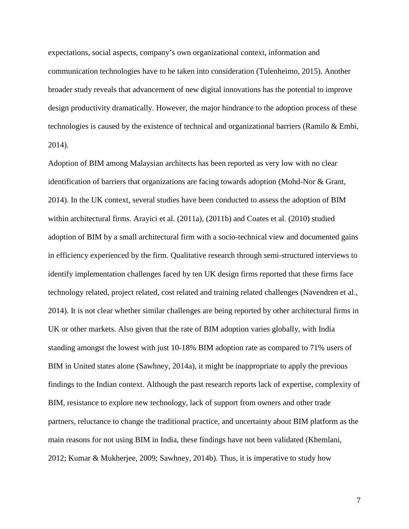expectations, social aspects, company's own organizational context, information and communication technologies have to be taken into consideration (Tulenheimo, 2015). Another broader study reveals that advancement of new digital innovations has the potential to improve design productivity dramatically. However, the major hindrance to the adoption process of these technologies is caused by the existence of technical and organizational barriers (Ramilo & Embi, 2014).

Adoption of BIM among Malaysian architects has been reported as very low with no clear identification of barriers that organizations are facing towards adoption (Mohd-Nor & Grant, 2014). In the UK context, several studies have been conducted to assess the adoption of BIM within architectural firms. Arayici et al. (2011a), (2011b) and Coates et al. (2010) studied adoption of BIM by a small architectural firm with a socio-technical view and documented gains in efficiency experienced by the firm. Qualitative research through semi-structured interviews to identify implementation challenges faced by ten UK design firms reported that these firms face technology related, project related, cost related and training related challenges (Navendren et al., 2014). It is not clear whether similar challenges are being reported by other architectural firms in UK or other markets. Also given that the rate of BIM adoption varies globally, with India standing amongst the lowest with just 10-18% BIM adoption rate as compared to 71% users of BIM in United states alone (Sawhney, 2014a), it might be inappropriate to apply the previous findings to the Indian context. Although the past research reports lack of expertise, complexity of BIM, resistance to explore new technology, lack of support from owners and other trade partners, reluctance to change the traditional practice, and uncertainty about BIM platform as the main reasons for not using BIM in India, these findings have not been validated (Khemlani, 2012; Kumar & Mukherjee, 2009; Sawhney, 2014b). Thus, it is imperative to study how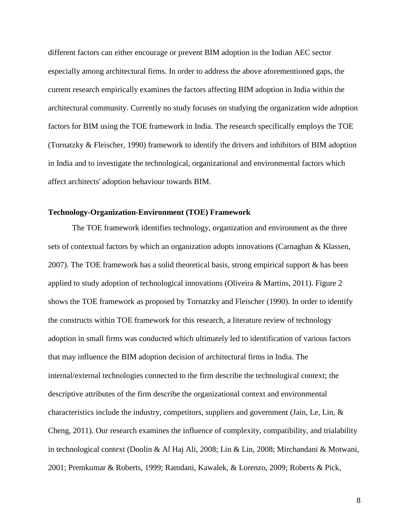different factors can either encourage or prevent BIM adoption in the Indian AEC sector especially among architectural firms. In order to address the above aforementioned gaps, the current research empirically examines the factors affecting BIM adoption in India within the architectural community. Currently no study focuses on studying the organization wide adoption factors for BIM using the TOE framework in India. The research specifically employs the TOE (Tornatzky & Fleischer, 1990) framework to identify the drivers and inhibitors of BIM adoption in India and to investigate the technological, organizational and environmental factors which affect architects' adoption behaviour towards BIM.

#### **Technology-Organization-Environment (TOE) Framework**

The TOE framework identifies technology, organization and environment as the three sets of contextual factors by which an organization adopts innovations (Carnaghan & Klassen, 2007). The TOE framework has a solid theoretical basis, strong empirical support & has been applied to study adoption of technological innovations (Oliveira & Martins, 2011). [Figure 2](#page-9-0) shows the TOE framework as proposed by Tornatzky and Fleischer (1990). In order to identify the constructs within TOE framework for this research, a literature review of technology adoption in small firms was conducted which ultimately led to identification of various factors that may influence the BIM adoption decision of architectural firms in India. The internal/external technologies connected to the firm describe the technological context; the descriptive attributes of the firm describe the organizational context and environmental characteristics include the industry, competitors, suppliers and government (Jain, Le, Lin, & Cheng, 2011). Our research examines the influence of complexity, compatibility, and trialability in technological context (Doolin & Al Haj Ali, 2008; Lin & Lin, 2008; Mirchandani & Motwani, 2001; Premkumar & Roberts, 1999; Ramdani, Kawalek, & Lorenzo, 2009; Roberts & Pick,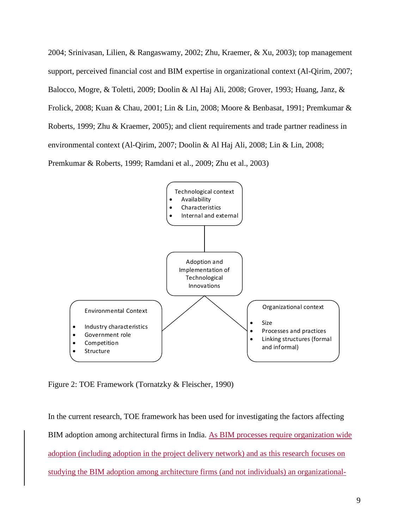2004; Srinivasan, Lilien, & Rangaswamy, 2002; Zhu, Kraemer, & Xu, 2003); top management support, perceived financial cost and BIM expertise in organizational context (Al-Qirim, 2007; Balocco, Mogre, & Toletti, 2009; Doolin & Al Haj Ali, 2008; Grover, 1993; Huang, Janz, & Frolick, 2008; Kuan & Chau, 2001; Lin & Lin, 2008; Moore & Benbasat, 1991; Premkumar & Roberts, 1999; Zhu & Kraemer, 2005); and client requirements and trade partner readiness in environmental context (Al-Qirim, 2007; Doolin & Al Haj Ali, 2008; Lin & Lin, 2008; Premkumar & Roberts, 1999; Ramdani et al., 2009; Zhu et al., 2003)



<span id="page-9-0"></span>Figure 2: TOE Framework (Tornatzky & Fleischer, 1990)

In the current research, TOE framework has been used for investigating the factors affecting BIM adoption among architectural firms in India. As BIM processes require organization wide adoption (including adoption in the project delivery network) and as this research focuses on studying the BIM adoption among architecture firms (and not individuals) an organizational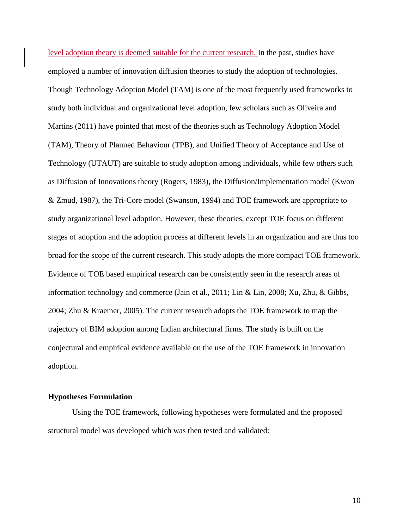level adoption theory is deemed suitable for the current research. In the past, studies have employed a number of innovation diffusion theories to study the adoption of technologies. Though Technology Adoption Model (TAM) is one of the most frequently used frameworks to study both individual and organizational level adoption, few scholars such as Oliveira and Martins (2011) have pointed that most of the theories such as Technology Adoption Model (TAM), Theory of Planned Behaviour (TPB), and Unified Theory of Acceptance and Use of Technology (UTAUT) are suitable to study adoption among individuals, while few others such as Diffusion of Innovations theory (Rogers, 1983), the Diffusion/Implementation model (Kwon & Zmud, 1987), the Tri-Core model (Swanson, 1994) and TOE framework are appropriate to study organizational level adoption. However, these theories, except TOE focus on different stages of adoption and the adoption process at different levels in an organization and are thus too broad for the scope of the current research. This study adopts the more compact TOE framework. Evidence of TOE based empirical research can be consistently seen in the research areas of information technology and commerce (Jain et al., 2011; Lin & Lin, 2008; Xu, Zhu, & Gibbs, 2004; Zhu & Kraemer, 2005). The current research adopts the TOE framework to map the trajectory of BIM adoption among Indian architectural firms. The study is built on the conjectural and empirical evidence available on the use of the TOE framework in innovation adoption.

# **Hypotheses Formulation**

Using the TOE framework, following hypotheses were formulated and the proposed structural model was developed which was then tested and validated: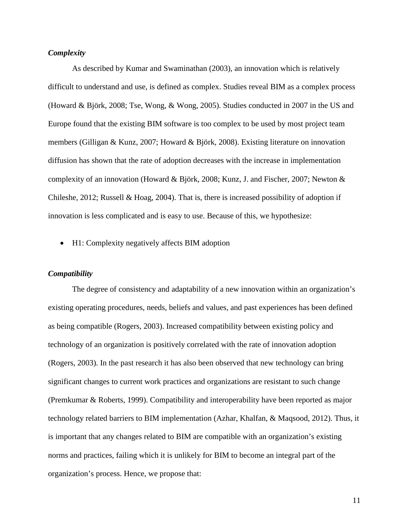### *Complexity*

As described by Kumar and Swaminathan (2003), an innovation which is relatively difficult to understand and use, is defined as complex. Studies reveal BIM as a complex process (Howard & Björk, 2008; Tse, Wong, & Wong, 2005). Studies conducted in 2007 in the US and Europe found that the existing BIM software is too complex to be used by most project team members (Gilligan & Kunz, 2007; Howard & Björk, 2008). Existing literature on innovation diffusion has shown that the rate of adoption decreases with the increase in implementation complexity of an innovation (Howard & Björk, 2008; Kunz, J. and Fischer, 2007; Newton & Chileshe, 2012; Russell & Hoag, 2004). That is, there is increased possibility of adoption if innovation is less complicated and is easy to use. Because of this, we hypothesize:

• H1: Complexity negatively affects BIM adoption

### *Compatibility*

The degree of consistency and adaptability of a new innovation within an organization's existing operating procedures, needs, beliefs and values, and past experiences has been defined as being compatible (Rogers, 2003). Increased compatibility between existing policy and technology of an organization is positively correlated with the rate of innovation adoption (Rogers, 2003). In the past research it has also been observed that new technology can bring significant changes to current work practices and organizations are resistant to such change (Premkumar & Roberts, 1999). Compatibility and interoperability have been reported as major technology related barriers to BIM implementation (Azhar, Khalfan, & Maqsood, 2012). Thus, it is important that any changes related to BIM are compatible with an organization's existing norms and practices, failing which it is unlikely for BIM to become an integral part of the organization's process. Hence, we propose that: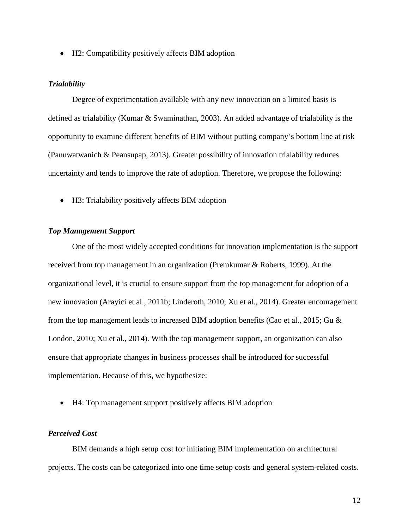• H2: Compatibility positively affects BIM adoption

#### *Trialability*

Degree of experimentation available with any new innovation on a limited basis is defined as trialability (Kumar & Swaminathan, 2003). An added advantage of trialability is the opportunity to examine different benefits of BIM without putting company's bottom line at risk (Panuwatwanich & Peansupap, 2013). Greater possibility of innovation trialability reduces uncertainty and tends to improve the rate of adoption. Therefore, we propose the following:

• H3: Trialability positively affects BIM adoption

#### *Top Management Support*

One of the most widely accepted conditions for innovation implementation is the support received from top management in an organization (Premkumar & Roberts, 1999). At the organizational level, it is crucial to ensure support from the top management for adoption of a new innovation (Arayici et al., 2011b; Linderoth, 2010; Xu et al., 2014). Greater encouragement from the top management leads to increased BIM adoption benefits (Cao et al., 2015; Gu & London, 2010; Xu et al., 2014). With the top management support, an organization can also ensure that appropriate changes in business processes shall be introduced for successful implementation. Because of this, we hypothesize:

• H4: Top management support positively affects BIM adoption

# *Perceived Cost*

BIM demands a high setup cost for initiating BIM implementation on architectural projects. The costs can be categorized into one time setup costs and general system-related costs.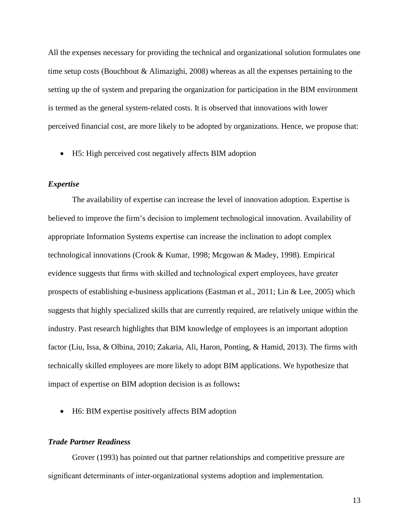All the expenses necessary for providing the technical and organizational solution formulates one time setup costs (Bouchbout & Alimazighi, 2008) whereas as all the expenses pertaining to the setting up the of system and preparing the organization for participation in the BIM environment is termed as the general system-related costs. It is observed that innovations with lower perceived financial cost, are more likely to be adopted by organizations. Hence, we propose that:

• H5: High perceived cost negatively affects BIM adoption

### *Expertise*

The availability of expertise can increase the level of innovation adoption. Expertise is believed to improve the firm's decision to implement technological innovation. Availability of appropriate Information Systems expertise can increase the inclination to adopt complex technological innovations (Crook & Kumar, 1998; Mcgowan & Madey, 1998). Empirical evidence suggests that firms with skilled and technological expert employees, have greater prospects of establishing e-business applications (Eastman et al., 2011; Lin & Lee, 2005) which suggests that highly specialized skills that are currently required, are relatively unique within the industry. Past research highlights that BIM knowledge of employees is an important adoption factor (Liu, Issa, & Olbina, 2010; Zakaria, Ali, Haron, Ponting, & Hamid, 2013). The firms with technically skilled employees are more likely to adopt BIM applications. We hypothesize that impact of expertise on BIM adoption decision is as follows**:**

• H6: BIM expertise positively affects BIM adoption

# *Trade Partner Readiness*

Grover (1993) has pointed out that partner relationships and competitive pressure are significant determinants of inter-organizational systems adoption and implementation.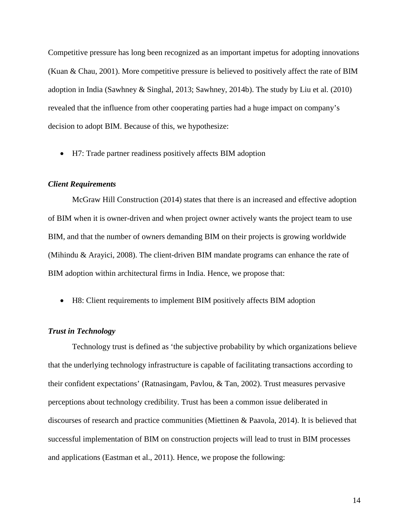Competitive pressure has long been recognized as an important impetus for adopting innovations (Kuan & Chau, 2001). More competitive pressure is believed to positively affect the rate of BIM adoption in India (Sawhney & Singhal, 2013; Sawhney, 2014b). The study by Liu et al. (2010) revealed that the influence from other cooperating parties had a huge impact on company's decision to adopt BIM. Because of this, we hypothesize:

• H7: Trade partner readiness positively affects BIM adoption

## *Client Requirements*

McGraw Hill Construction (2014) states that there is an increased and effective adoption of BIM when it is owner-driven and when project owner actively wants the project team to use BIM, and that the number of owners demanding BIM on their projects is growing worldwide (Mihindu & Arayici, 2008). The client-driven BIM mandate programs can enhance the rate of BIM adoption within architectural firms in India. Hence, we propose that:

• H8: Client requirements to implement BIM positively affects BIM adoption

### *Trust in Technology*

Technology trust is defined as 'the subjective probability by which organizations believe that the underlying technology infrastructure is capable of facilitating transactions according to their confident expectations' (Ratnasingam, Pavlou, & Tan, 2002). Trust measures pervasive perceptions about technology credibility. Trust has been a common issue deliberated in discourses of research and practice communities (Miettinen & Paavola, 2014). It is believed that successful implementation of BIM on construction projects will lead to trust in BIM processes and applications (Eastman et al., 2011). Hence, we propose the following: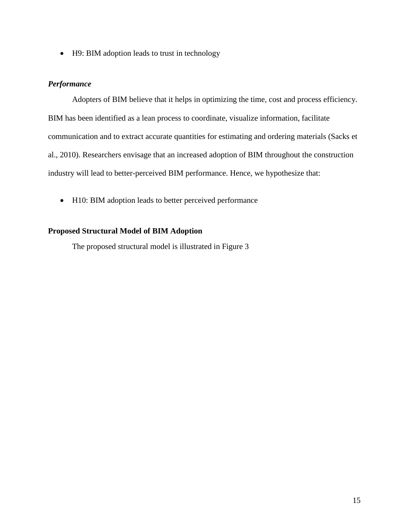• H9: BIM adoption leads to trust in technology

# *Performance*

Adopters of BIM believe that it helps in optimizing the time, cost and process efficiency. BIM has been identified as a lean process to coordinate, visualize information, facilitate communication and to extract accurate quantities for estimating and ordering materials (Sacks et al., 2010). Researchers envisage that an increased adoption of BIM throughout the construction industry will lead to better-perceived BIM performance. Hence, we hypothesize that:

• H10: BIM adoption leads to better perceived performance

# **Proposed Structural Model of BIM Adoption**

The proposed structural model is illustrated in [Figure 3](#page-16-0)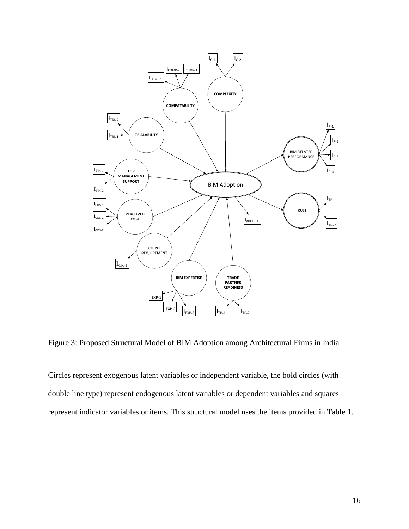

<span id="page-16-0"></span>Figure 3: Proposed Structural Model of BIM Adoption among Architectural Firms in India

Circles represent exogenous latent variables or independent variable, the bold circles (with double line type) represent endogenous latent variables or dependent variables and squares represent indicator variables or items. This structural model uses the items provided in Table 1.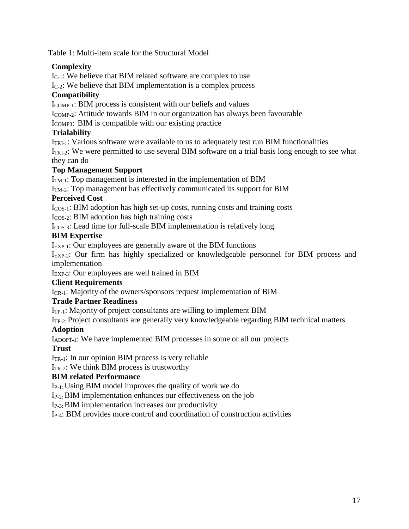Table 1: Multi-item scale for the Structural Model

# **Complexity**

IC-1: We believe that BIM related software are complex to use

 $I_{C-2}$ : We believe that BIM implementation is a complex process

# **Compatibility**

 $I_{COMP-1}$ : BIM process is consistent with our beliefs and values

I<sub>COMP-2</sub>: Attitude towards BIM in our organization has always been favourable

I<sub>COMP3</sub>: BIM is compatible with our existing practice

# **Trialability**

ITRI-1: Various software were available to us to adequately test run BIM functionalities  $I_{TRI-2}$ : We were permitted to use several BIM software on a trial basis long enough to see what

they can do

# **Top Management Support**

 $I<sub>TM-1</sub>$ : Top management is interested in the implementation of BIM

 $I<sub>TM-2</sub>$ : Top management has effectively communicated its support for BIM

# **Perceived Cost**

 $I_{COS-1}$ : BIM adoption has high set-up costs, running costs and training costs

I<sub>COS-2</sub>: BIM adoption has high training costs

ICOS-3: Lead time for full-scale BIM implementation is relatively long

# **BIM Expertise**

IEXP-1: Our employees are generally aware of the BIM functions

I<sub>EXP-2</sub>: Our firm has highly specialized or knowledgeable personnel for BIM process and implementation

IEXP-3: Our employees are well trained in BIM

# **Client Requirements**

I<sub>CR-1</sub>: Majority of the owners/sponsors request implementation of BIM

# **Trade Partner Readiness**

 $I_{TP-1}$ : Majority of project consultants are willing to implement BIM

ITP-2: Project consultants are generally very knowledgeable regarding BIM technical matters

# **Adoption**

IADOPT-1: We have implemented BIM processes in some or all our projects

# **Trust**

 $I_{TR-1}$ : In our opinion BIM process is very reliable

 $I<sub>TR-2</sub>: We think BIM process is trustworthy.$ 

# **BIM related Performance**

IP-1: Using BIM model improves the quality of work we do

IP-2: BIM implementation enhances our effectiveness on the job

IP-3: BIM implementation increases our productivity

IP-4: BIM provides more control and coordination of construction activities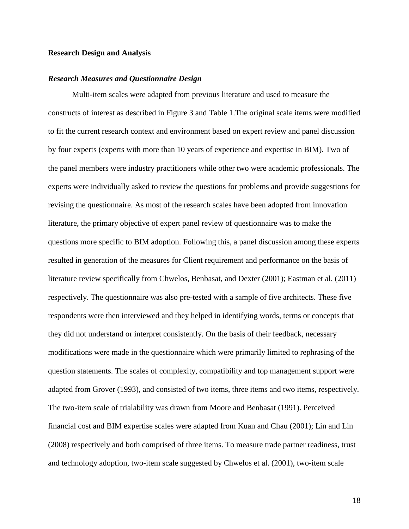### **Research Design and Analysis**

#### *Research Measures and Questionnaire Design*

Multi-item scales were adapted from previous literature and used to measure the constructs of interest as described in [Figure 3](#page-16-0) and Table 1.The original scale items were modified to fit the current research context and environment based on expert review and panel discussion by four experts (experts with more than 10 years of experience and expertise in BIM). Two of the panel members were industry practitioners while other two were academic professionals. The experts were individually asked to review the questions for problems and provide suggestions for revising the questionnaire. As most of the research scales have been adopted from innovation literature, the primary objective of expert panel review of questionnaire was to make the questions more specific to BIM adoption. Following this, a panel discussion among these experts resulted in generation of the measures for Client requirement and performance on the basis of literature review specifically from Chwelos, Benbasat, and Dexter (2001); Eastman et al. (2011) respectively. The questionnaire was also pre-tested with a sample of five architects. These five respondents were then interviewed and they helped in identifying words, terms or concepts that they did not understand or interpret consistently. On the basis of their feedback, necessary modifications were made in the questionnaire which were primarily limited to rephrasing of the question statements. The scales of complexity, compatibility and top management support were adapted from Grover (1993), and consisted of two items, three items and two items, respectively. The two-item scale of trialability was drawn from Moore and Benbasat (1991). Perceived financial cost and BIM expertise scales were adapted from Kuan and Chau (2001); Lin and Lin (2008) respectively and both comprised of three items. To measure trade partner readiness, trust and technology adoption, two-item scale suggested by Chwelos et al. (2001), two-item scale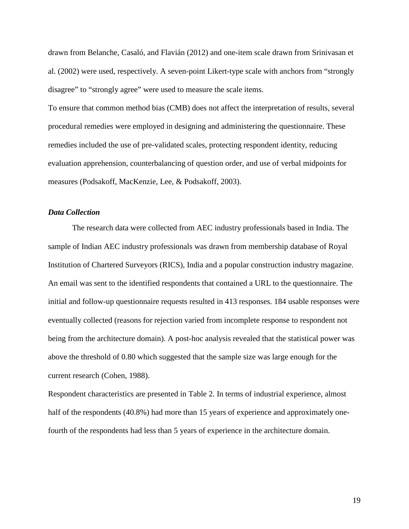drawn from Belanche, Casaló, and Flavián (2012) and one-item scale drawn from Srinivasan et al. (2002) were used, respectively. A seven-point Likert-type scale with anchors from "strongly disagree" to "strongly agree" were used to measure the scale items.

To ensure that common method bias (CMB) does not affect the interpretation of results, several procedural remedies were employed in designing and administering the questionnaire. These remedies included the use of pre-validated scales, protecting respondent identity, reducing evaluation apprehension, counterbalancing of question order, and use of verbal midpoints for measures (Podsakoff, MacKenzie, Lee, & Podsakoff, 2003).

### *Data Collection*

The research data were collected from AEC industry professionals based in India. The sample of Indian AEC industry professionals was drawn from membership database of Royal Institution of Chartered Surveyors (RICS), India and a popular construction industry magazine. An email was sent to the identified respondents that contained a URL to the questionnaire. The initial and follow-up questionnaire requests resulted in 413 responses. 184 usable responses were eventually collected (reasons for rejection varied from incomplete response to respondent not being from the architecture domain). A post-hoc analysis revealed that the statistical power was above the threshold of 0.80 which suggested that the sample size was large enough for the current research (Cohen, 1988).

Respondent characteristics are presented in Table 2. In terms of industrial experience, almost half of the respondents (40.8%) had more than 15 years of experience and approximately onefourth of the respondents had less than 5 years of experience in the architecture domain.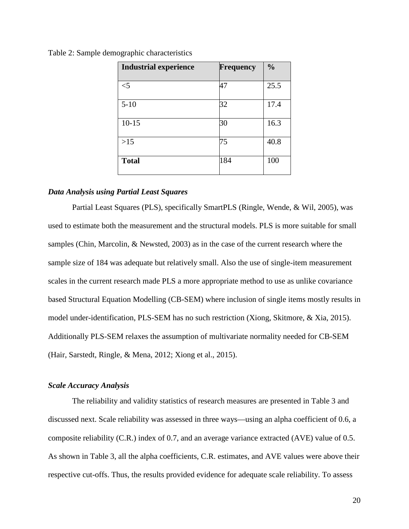| <b>Industrial experience</b> | <b>Frequency</b> | $\frac{0}{0}$ |
|------------------------------|------------------|---------------|
| $<$ 5                        | 47               | 25.5          |
| $5 - 10$                     | 32               | 17.4          |
| $10 - 15$                    | 30               | 16.3          |
| $>15$                        | 75               | 40.8          |
| <b>Total</b>                 | 184              | 100           |

Table 2: Sample demographic characteristics

# *Data Analysis using Partial Least Squares*

Partial Least Squares (PLS), specifically SmartPLS (Ringle, Wende, & Wil, 2005), was used to estimate both the measurement and the structural models. PLS is more suitable for small samples (Chin, Marcolin, & Newsted, 2003) as in the case of the current research where the sample size of 184 was adequate but relatively small. Also the use of single-item measurement scales in the current research made PLS a more appropriate method to use as unlike covariance based Structural Equation Modelling (CB-SEM) where inclusion of single items mostly results in model under-identification, PLS-SEM has no such restriction (Xiong, Skitmore, & Xia, 2015). Additionally PLS-SEM relaxes the assumption of multivariate normality needed for CB-SEM (Hair, Sarstedt, Ringle, & Mena, 2012; Xiong et al., 2015).

### *Scale Accuracy Analysis*

The reliability and validity statistics of research measures are presented in Table 3 and discussed next. Scale reliability was assessed in three ways—using an alpha coefficient of 0.6, a composite reliability (C.R.) index of 0.7, and an average variance extracted (AVE) value of 0.5. As shown in Table 3, all the alpha coefficients, C.R. estimates, and AVE values were above their respective cut-offs. Thus, the results provided evidence for adequate scale reliability. To assess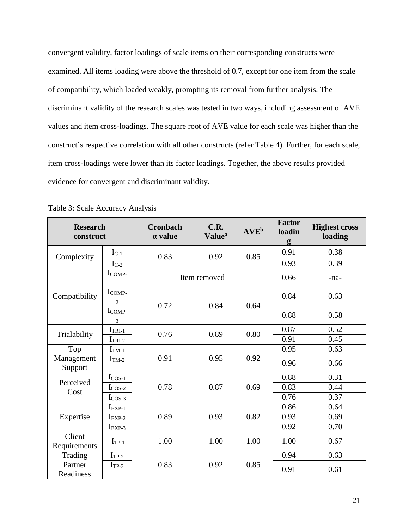convergent validity, factor loadings of scale items on their corresponding constructs were examined. All items loading were above the threshold of 0.7, except for one item from the scale of compatibility, which loaded weakly, prompting its removal from further analysis. The discriminant validity of the research scales was tested in two ways, including assessment of AVE values and item cross-loadings. The square root of AVE value for each scale was higher than the construct's respective correlation with all other constructs (refer Table 4). Further, for each scale, item cross-loadings were lower than its factor loadings. Together, the above results provided evidence for convergent and discriminant validity.

| <b>Research</b><br>construct |                        | C.R.<br><b>Cronbach</b><br>a value<br><b>Value</b> <sup>a</sup> |              | <b>AVE</b> <sup>b</sup> | <b>Factor</b><br>loadin<br>g | <b>Highest cross</b><br>loading |  |
|------------------------------|------------------------|-----------------------------------------------------------------|--------------|-------------------------|------------------------------|---------------------------------|--|
| Complexity                   | $I_{C-1}$              | 0.83                                                            | 0.92         | 0.85                    | 0.91                         | 0.38                            |  |
|                              | $I_{C-2}$              |                                                                 |              |                         | 0.93                         | 0.39                            |  |
| Compatibility                | ICOMP-<br>$\mathbf{1}$ |                                                                 | Item removed | 0.66                    | -na-                         |                                 |  |
|                              | ICOMP-<br>2            | 0.72                                                            | 0.84         | 0.64                    | 0.84                         | 0.63                            |  |
|                              | ICOMP-<br>3            |                                                                 |              |                         | 0.88                         | 0.58                            |  |
| Trialability                 | $ITRI-1$               | 0.76                                                            | 0.89         | 0.80                    | 0.87                         | 0.52                            |  |
|                              | $ITRI-2$               |                                                                 |              |                         | 0.91                         | 0.45                            |  |
| Top                          | $I_{TM-1}$             |                                                                 | 0.95         | 0.92                    | 0.95                         | 0.63                            |  |
| Management<br>Support        | $ITM-2$                | 0.91                                                            |              |                         | 0.96                         | 0.66                            |  |
| Perceived                    | $I_{\text{COS-1}}$     |                                                                 | 0.87         | 0.69                    | 0.88                         | 0.31                            |  |
| Cost                         | $Icos-2$               | 0.78                                                            |              |                         | 0.83                         | 0.44                            |  |
|                              | $Icos-3$               |                                                                 |              |                         | 0.76                         | 0.37                            |  |
| Expertise                    | $I_{EXP-1}$            | 0.89                                                            | 0.93         | 0.82                    | 0.86                         | 0.64                            |  |
|                              | $I_{EXP-2}$            |                                                                 |              |                         | 0.93                         | 0.69                            |  |
|                              | $I_{EXP-3}$            |                                                                 |              |                         | 0.92                         | 0.70                            |  |
| Client<br>Requirements       | $I_{TP-1}$             | 1.00                                                            | 1.00         | 1.00                    | 1.00                         | 0.67                            |  |
| Trading                      | $IrP-2$                |                                                                 |              |                         | 0.94                         | 0.63                            |  |
| Partner<br>Readiness         | $IrP-3$                | 0.83                                                            | 0.92         | 0.85                    | 0.91                         | 0.61                            |  |

Table 3: Scale Accuracy Analysis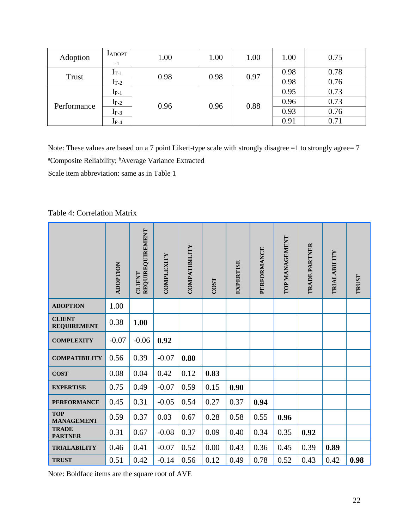| Adoption     | <b>LADOPT</b><br>$-1$ | 1.00 | 1.00 | 1.00 | 1.00 | 0.75 |
|--------------|-----------------------|------|------|------|------|------|
| <b>Trust</b> | $I_{T-1}$             | 0.98 | 0.98 | 0.97 | 0.98 | 0.78 |
|              | $\rm I_{T-2}$         |      |      |      | 0.98 | 0.76 |
| Performance  | $I_{P-1}$             | 0.96 | 0.96 | 0.88 | 0.95 | 0.73 |
|              | $I_{P-2}$             |      |      |      | 0.96 | 0.73 |
|              | $I_{P-3}$             |      |      |      | 0.93 | 0.76 |
|              | $_{\rm 1p-4}$         |      |      |      | 0.91 | 0.71 |

Note: These values are based on a 7 point Likert-type scale with strongly disagree =1 to strongly agree= 7 <sup>a</sup>Composite Reliability; <sup>b</sup>Average Variance Extracted

Scale item abbreviation: same as in Table 1

Table 4: Correlation Matrix

|                                     | ADOPTION | REQUIREQUIREMENT<br>CLIENT | COMPLEXITY | COMPATIBILITY | <b>COST</b> | <b>EXPERTISE</b> | PERFORMANCE | TOP MANAGEMENT | TRADE PARTNER | TRIALABILITY | <b>TRUST</b> |
|-------------------------------------|----------|----------------------------|------------|---------------|-------------|------------------|-------------|----------------|---------------|--------------|--------------|
| <b>ADOPTION</b>                     | 1.00     |                            |            |               |             |                  |             |                |               |              |              |
| <b>CLIENT</b><br><b>REQUIREMENT</b> | 0.38     | 1.00                       |            |               |             |                  |             |                |               |              |              |
| <b>COMPLEXITY</b>                   | $-0.07$  | $-0.06$                    | 0.92       |               |             |                  |             |                |               |              |              |
| <b>COMPATIBILITY</b>                | 0.56     | 0.39                       | $-0.07$    | 0.80          |             |                  |             |                |               |              |              |
| <b>COST</b>                         | 0.08     | 0.04                       | 0.42       | 0.12          | 0.83        |                  |             |                |               |              |              |
| <b>EXPERTISE</b>                    | 0.75     | 0.49                       | $-0.07$    | 0.59          | 0.15        | 0.90             |             |                |               |              |              |
| <b>PERFORMANCE</b>                  | 0.45     | 0.31                       | $-0.05$    | 0.54          | 0.27        | 0.37             | 0.94        |                |               |              |              |
| <b>TOP</b><br><b>MANAGEMENT</b>     | 0.59     | 0.37                       | 0.03       | 0.67          | 0.28        | 0.58             | 0.55        | 0.96           |               |              |              |
| <b>TRADE</b><br><b>PARTNER</b>      | 0.31     | 0.67                       | $-0.08$    | 0.37          | 0.09        | 0.40             | 0.34        | 0.35           | 0.92          |              |              |
| <b>TRIALABILITY</b>                 | 0.46     | 0.41                       | $-0.07$    | 0.52          | 0.00        | 0.43             | 0.36        | 0.45           | 0.39          | 0.89         |              |
| <b>TRUST</b>                        | 0.51     | 0.42                       | $-0.14$    | 0.56          | 0.12        | 0.49             | 0.78        | 0.52           | 0.43          | 0.42         | 0.98         |

Note: Boldface items are the square root of AVE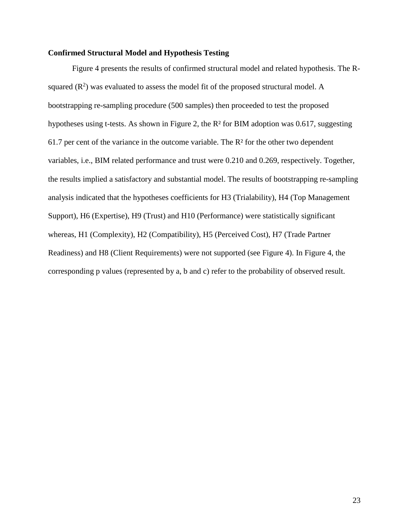### **Confirmed Structural Model and Hypothesis Testing**

[Figure 4](#page-24-0) presents the results of confirmed structural model and related hypothesis. The Rsquared  $(R^2)$  was evaluated to assess the model fit of the proposed structural model. A bootstrapping re-sampling procedure (500 samples) then proceeded to test the proposed hypotheses using t-tests. As shown in Figure 2, the R² for BIM adoption was 0.617, suggesting 61.7 per cent of the variance in the outcome variable. The R² for the other two dependent variables, i.e., BIM related performance and trust were 0.210 and 0.269, respectively. Together, the results implied a satisfactory and substantial model. The results of bootstrapping re-sampling analysis indicated that the hypotheses coefficients for H3 (Trialability), H4 (Top Management Support), H6 (Expertise), H9 (Trust) and H10 (Performance) were statistically significant whereas, H1 (Complexity), H2 (Compatibility), H5 (Perceived Cost), H7 (Trade Partner Readiness) and H8 (Client Requirements) were not supported (see [Figure 4\)](#page-24-0). In Figure 4, the corresponding p values (represented by a, b and c) refer to the probability of observed result.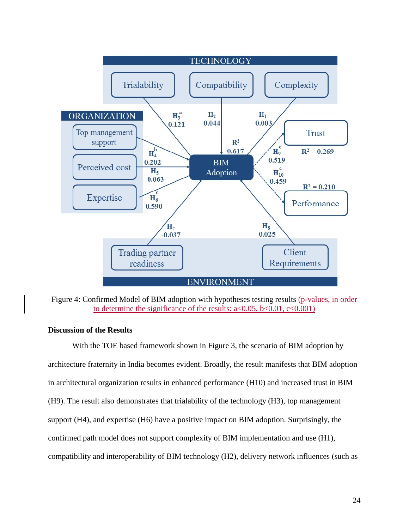

<span id="page-24-0"></span>Figure 4: Confirmed Model of BIM adoption with hypotheses testing results (p-values, in order to determine the significance of the results:  $a < 0.05$ ,  $b < 0.01$ ,  $c < 0.001$ )

### **Discussion of the Results**

With the TOE based framework shown in Figure 3, the scenario of BIM adoption by architecture fraternity in India becomes evident. Broadly, the result manifests that BIM adoption in architectural organization results in enhanced performance (H10) and increased trust in BIM (H9). The result also demonstrates that trialability of the technology (H3), top management support (H4), and expertise (H6) have a positive impact on BIM adoption. Surprisingly, the confirmed path model does not support complexity of BIM implementation and use (H1), compatibility and interoperability of BIM technology (H2), delivery network influences (such as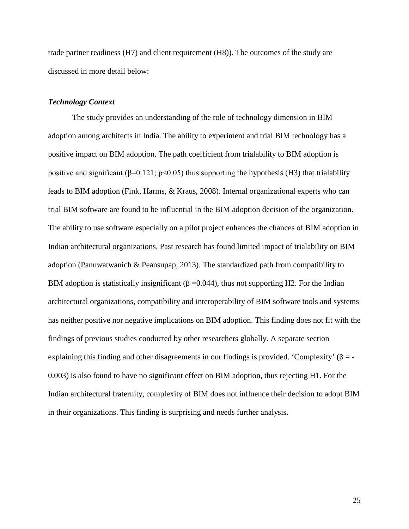trade partner readiness (H7) and client requirement (H8)). The outcomes of the study are discussed in more detail below:

#### *Technology Context*

The study provides an understanding of the role of technology dimension in BIM adoption among architects in India. The ability to experiment and trial BIM technology has a positive impact on BIM adoption. The path coefficient from trialability to BIM adoption is positive and significant ( $\beta$ =0.121; p<0.05) thus supporting the hypothesis (H3) that trialability leads to BIM adoption (Fink, Harms, & Kraus, 2008). Internal organizational experts who can trial BIM software are found to be influential in the BIM adoption decision of the organization. The ability to use software especially on a pilot project enhances the chances of BIM adoption in Indian architectural organizations. Past research has found limited impact of trialability on BIM adoption (Panuwatwanich & Peansupap, 2013). The standardized path from compatibility to BIM adoption is statistically insignificant ( $\beta$  =0.044), thus not supporting H2. For the Indian architectural organizations, compatibility and interoperability of BIM software tools and systems has neither positive nor negative implications on BIM adoption. This finding does not fit with the findings of previous studies conducted by other researchers globally. A separate section explaining this finding and other disagreements in our findings is provided. 'Complexity'  $(\beta = -1)$ 0.003) is also found to have no significant effect on BIM adoption, thus rejecting H1. For the Indian architectural fraternity, complexity of BIM does not influence their decision to adopt BIM in their organizations. This finding is surprising and needs further analysis.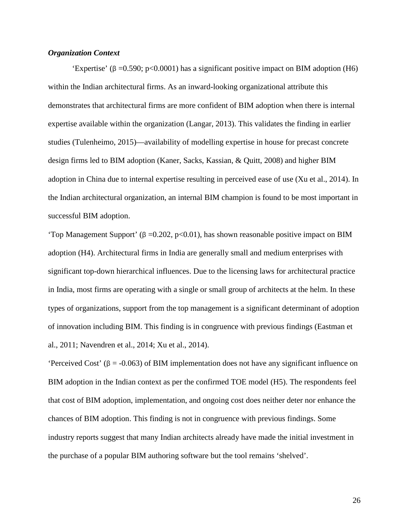# *Organization Context*

'Expertise' ( $\beta$  =0.590; p<0.0001) has a significant positive impact on BIM adoption (H6) within the Indian architectural firms. As an inward-looking organizational attribute this demonstrates that architectural firms are more confident of BIM adoption when there is internal expertise available within the organization (Langar, 2013). This validates the finding in earlier studies (Tulenheimo, 2015)—availability of modelling expertise in house for precast concrete design firms led to BIM adoption (Kaner, Sacks, Kassian, & Quitt, 2008) and higher BIM adoption in China due to internal expertise resulting in perceived ease of use (Xu et al., 2014). In the Indian architectural organization, an internal BIM champion is found to be most important in successful BIM adoption.

'Top Management Support' (β = 0.202, p < 0.01), has shown reasonable positive impact on BIM adoption (H4). Architectural firms in India are generally small and medium enterprises with significant top-down hierarchical influences. Due to the licensing laws for architectural practice in India, most firms are operating with a single or small group of architects at the helm. In these types of organizations, support from the top management is a significant determinant of adoption of innovation including BIM. This finding is in congruence with previous findings (Eastman et al., 2011; Navendren et al., 2014; Xu et al., 2014).

'Perceived Cost' ( $\beta$  = -0.063) of BIM implementation does not have any significant influence on BIM adoption in the Indian context as per the confirmed TOE model (H5). The respondents feel that cost of BIM adoption, implementation, and ongoing cost does neither deter nor enhance the chances of BIM adoption. This finding is not in congruence with previous findings. Some industry reports suggest that many Indian architects already have made the initial investment in the purchase of a popular BIM authoring software but the tool remains 'shelved'.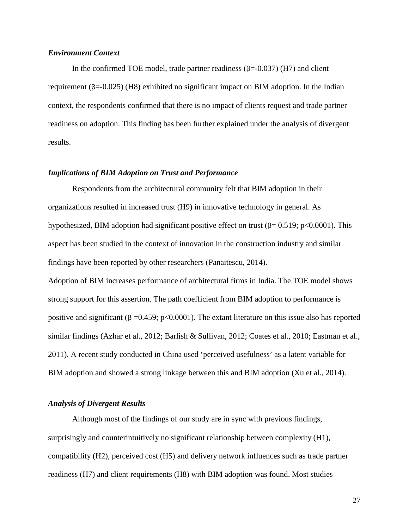### *Environment Context*

In the confirmed TOE model, trade partner readiness  $(\beta = 0.037)$  (H7) and client requirement (β=-0.025) (H8) exhibited no significant impact on BIM adoption. In the Indian context, the respondents confirmed that there is no impact of clients request and trade partner readiness on adoption. This finding has been further explained under the analysis of divergent results.

#### *Implications of BIM Adoption on Trust and Performance*

Respondents from the architectural community felt that BIM adoption in their organizations resulted in increased trust (H9) in innovative technology in general. As hypothesized, BIM adoption had significant positive effect on trust ( $\beta$ = 0.519; p<0.0001). This aspect has been studied in the context of innovation in the construction industry and similar findings have been reported by other researchers (Panaitescu, 2014).

Adoption of BIM increases performance of architectural firms in India. The TOE model shows strong support for this assertion. The path coefficient from BIM adoption to performance is positive and significant (β = 0.459; p < 0.0001). The extant literature on this issue also has reported similar findings (Azhar et al., 2012; Barlish & Sullivan, 2012; Coates et al., 2010; Eastman et al., 2011). A recent study conducted in China used 'perceived usefulness' as a latent variable for BIM adoption and showed a strong linkage between this and BIM adoption (Xu et al., 2014).

#### *Analysis of Divergent Results*

Although most of the findings of our study are in sync with previous findings, surprisingly and counterintuitively no significant relationship between complexity (H1), compatibility (H2), perceived cost (H5) and delivery network influences such as trade partner readiness (H7) and client requirements (H8) with BIM adoption was found. Most studies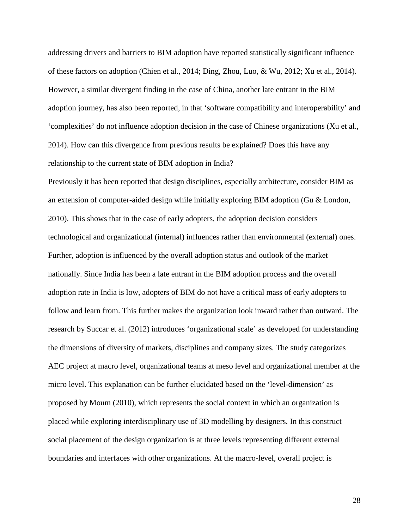addressing drivers and barriers to BIM adoption have reported statistically significant influence of these factors on adoption (Chien et al., 2014; Ding, Zhou, Luo, & Wu, 2012; Xu et al., 2014). However, a similar divergent finding in the case of China, another late entrant in the BIM adoption journey, has also been reported, in that 'software compatibility and interoperability' and 'complexities' do not influence adoption decision in the case of Chinese organizations (Xu et al., 2014). How can this divergence from previous results be explained? Does this have any relationship to the current state of BIM adoption in India?

Previously it has been reported that design disciplines, especially architecture, consider BIM as an extension of computer-aided design while initially exploring BIM adoption (Gu & London, 2010). This shows that in the case of early adopters, the adoption decision considers technological and organizational (internal) influences rather than environmental (external) ones. Further, adoption is influenced by the overall adoption status and outlook of the market nationally. Since India has been a late entrant in the BIM adoption process and the overall adoption rate in India is low, adopters of BIM do not have a critical mass of early adopters to follow and learn from. This further makes the organization look inward rather than outward. The research by Succar et al. (2012) introduces 'organizational scale' as developed for understanding the dimensions of diversity of markets, disciplines and company sizes. The study categorizes AEC project at macro level, organizational teams at meso level and organizational member at the micro level. This explanation can be further elucidated based on the 'level-dimension' as proposed by Moum (2010), which represents the social context in which an organization is placed while exploring interdisciplinary use of 3D modelling by designers. In this construct social placement of the design organization is at three levels representing different external boundaries and interfaces with other organizations. At the macro-level, overall project is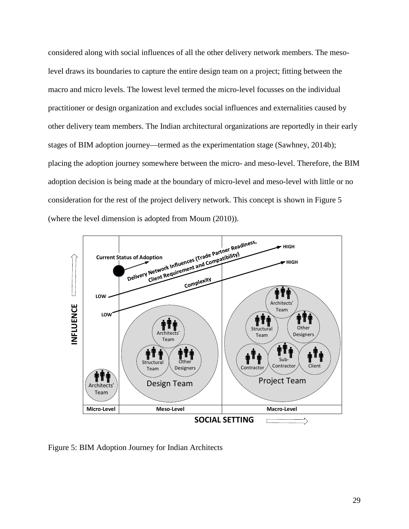considered along with social influences of all the other delivery network members. The mesolevel draws its boundaries to capture the entire design team on a project; fitting between the macro and micro levels. The lowest level termed the micro-level focusses on the individual practitioner or design organization and excludes social influences and externalities caused by other delivery team members. The Indian architectural organizations are reportedly in their early stages of BIM adoption journey—termed as the experimentation stage (Sawhney, 2014b); placing the adoption journey somewhere between the micro- and meso-level. Therefore, the BIM adoption decision is being made at the boundary of micro-level and meso-level with little or no consideration for the rest of the project delivery network. This concept is shown in [Figure 5](#page-29-0) (where the level dimension is adopted from Moum (2010)).



<span id="page-29-0"></span>Figure 5: BIM Adoption Journey for Indian Architects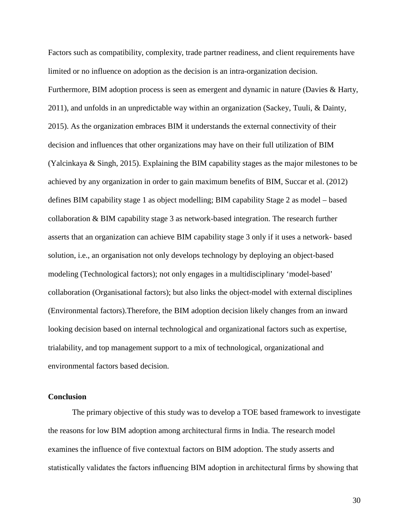Factors such as compatibility, complexity, trade partner readiness, and client requirements have limited or no influence on adoption as the decision is an intra-organization decision. Furthermore, BIM adoption process is seen as emergent and dynamic in nature (Davies & Harty, 2011), and unfolds in an unpredictable way within an organization (Sackey, Tuuli, & Dainty, 2015). As the organization embraces BIM it understands the external connectivity of their decision and influences that other organizations may have on their full utilization of BIM (Yalcinkaya & Singh, 2015). Explaining the BIM capability stages as the major milestones to be achieved by any organization in order to gain maximum benefits of BIM, Succar et al. (2012) defines BIM capability stage 1 as object modelling; BIM capability Stage 2 as model – based collaboration & BIM capability stage 3 as network-based integration. The research further asserts that an organization can achieve BIM capability stage 3 only if it uses a network- based solution, i.e., an organisation not only develops technology by deploying an object-based modeling (Technological factors); not only engages in a multidisciplinary 'model-based' collaboration (Organisational factors); but also links the object-model with external disciplines (Environmental factors).Therefore, the BIM adoption decision likely changes from an inward looking decision based on internal technological and organizational factors such as expertise, trialability, and top management support to a mix of technological, organizational and environmental factors based decision.

# **Conclusion**

The primary objective of this study was to develop a TOE based framework to investigate the reasons for low BIM adoption among architectural firms in India. The research model examines the influence of five contextual factors on BIM adoption. The study asserts and statistically validates the factors influencing BIM adoption in architectural firms by showing that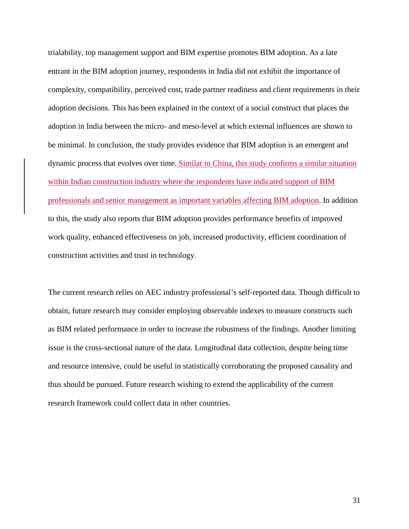trialability, top management support and BIM expertise promotes BIM adoption. As a late entrant in the BIM adoption journey, respondents in India did not exhibit the importance of complexity, compatibility, perceived cost, trade partner readiness and client requirements in their adoption decisions. This has been explained in the context of a social construct that places the adoption in India between the micro- and meso-level at which external influences are shown to be minimal. In conclusion, the study provides evidence that BIM adoption is an emergent and dynamic process that evolves over time. Similar to China, this study confirms a similar situation within Indian construction industry where the respondents have indicated support of BIM professionals and senior management as important variables affecting BIM adoption. In addition to this, the study also reports that BIM adoption provides performance benefits of improved work quality, enhanced effectiveness on job, increased productivity, efficient coordination of construction activities and trust in technology.

The current research relies on AEC industry professional's self-reported data. Though difficult to obtain, future research may consider employing observable indexes to measure constructs such as BIM related performance in order to increase the robustness of the findings. Another limiting issue is the cross-sectional nature of the data. Longitudinal data collection, despite being time and resource intensive, could be useful in statistically corroborating the proposed causality and thus should be pursued. Future research wishing to extend the applicability of the current research framework could collect data in other countries.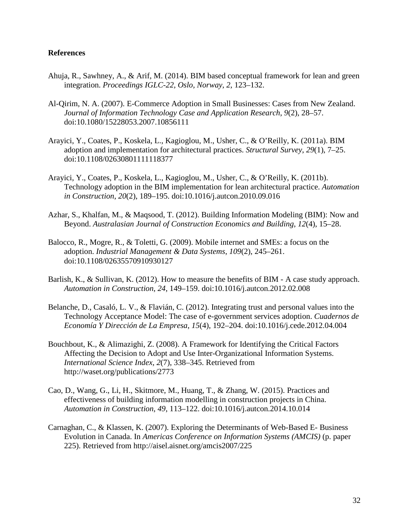# **References**

- Ahuja, R., Sawhney, A., & Arif, M. (2014). BIM based conceptual framework for lean and green integration. *Proceedings IGLC-22, Oslo, Norway*, *2*, 123–132.
- Al-Qirim, N. A. (2007). E-Commerce Adoption in Small Businesses: Cases from New Zealand. *Journal of Information Technology Case and Application Research*, *9*(2), 28–57. doi:10.1080/15228053.2007.10856111
- Arayici, Y., Coates, P., Koskela, L., Kagioglou, M., Usher, C., & O'Reilly, K. (2011a). BIM adoption and implementation for architectural practices. *Structural Survey*, *29*(1), 7–25. doi:10.1108/02630801111118377
- Arayici, Y., Coates, P., Koskela, L., Kagioglou, M., Usher, C., & O'Reilly, K. (2011b). Technology adoption in the BIM implementation for lean architectural practice. *Automation in Construction*, *20*(2), 189–195. doi:10.1016/j.autcon.2010.09.016
- Azhar, S., Khalfan, M., & Maqsood, T. (2012). Building Information Modeling (BIM): Now and Beyond. *Australasian Journal of Construction Economics and Building*, *12*(4), 15–28.
- Balocco, R., Mogre, R., & Toletti, G. (2009). Mobile internet and SMEs: a focus on the adoption. *Industrial Management & Data Systems*, *109*(2), 245–261. doi:10.1108/02635570910930127
- Barlish, K., & Sullivan, K. (2012). How to measure the benefits of BIM A case study approach. *Automation in Construction*, *24*, 149–159. doi:10.1016/j.autcon.2012.02.008
- Belanche, D., Casaló, L. V., & Flavián, C. (2012). Integrating trust and personal values into the Technology Acceptance Model: The case of e-government services adoption. *Cuadernos de Economía Y Dirección de La Empresa*, *15*(4), 192–204. doi:10.1016/j.cede.2012.04.004
- Bouchbout, K., & Alimazighi, Z. (2008). A Framework for Identifying the Critical Factors Affecting the Decision to Adopt and Use Inter-Organizational Information Systems. *International Science Index*, *2*(7), 338–345. Retrieved from http://waset.org/publications/2773
- Cao, D., Wang, G., Li, H., Skitmore, M., Huang, T., & Zhang, W. (2015). Practices and effectiveness of building information modelling in construction projects in China. *Automation in Construction*, *49*, 113–122. doi:10.1016/j.autcon.2014.10.014
- Carnaghan, C., & Klassen, K. (2007). Exploring the Determinants of Web-Based E- Business Evolution in Canada. In *Americas Conference on Information Systems (AMCIS)* (p. paper 225). Retrieved from http://aisel.aisnet.org/amcis2007/225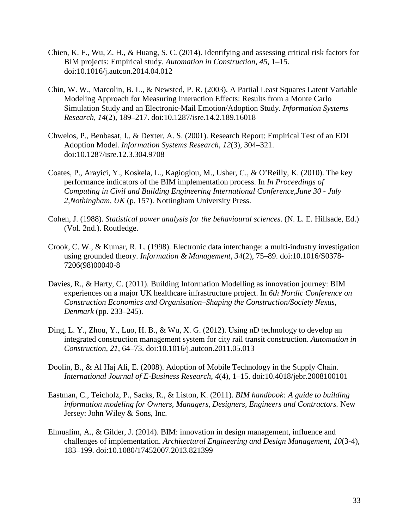- Chien, K. F., Wu, Z. H., & Huang, S. C. (2014). Identifying and assessing critical risk factors for BIM projects: Empirical study. *Automation in Construction*, *45*, 1–15. doi:10.1016/j.autcon.2014.04.012
- Chin, W. W., Marcolin, B. L., & Newsted, P. R. (2003). A Partial Least Squares Latent Variable Modeling Approach for Measuring Interaction Effects: Results from a Monte Carlo Simulation Study and an Electronic-Mail Emotion/Adoption Study. *Information Systems Research*, *14*(2), 189–217. doi:10.1287/isre.14.2.189.16018
- Chwelos, P., Benbasat, I., & Dexter, A. S. (2001). Research Report: Empirical Test of an EDI Adoption Model. *Information Systems Research*, *12*(3), 304–321. doi:10.1287/isre.12.3.304.9708
- Coates, P., Arayici, Y., Koskela, L., Kagioglou, M., Usher, C., & O'Reilly, K. (2010). The key performance indicators of the BIM implementation process. In *In Proceedings of Computing in Civil and Building Engineering International Conference,June 30 - July 2,Nothingham, UK* (p. 157). Nottingham University Press.
- Cohen, J. (1988). *Statistical power analysis for the behavioural sciences*. (N. L. E. Hillsade, Ed.) (Vol. 2nd.). Routledge.
- Crook, C. W., & Kumar, R. L. (1998). Electronic data interchange: a multi-industry investigation using grounded theory. *Information & Management*, *34*(2), 75–89. doi:10.1016/S0378- 7206(98)00040-8
- Davies, R., & Harty, C. (2011). Building Information Modelling as innovation journey: BIM experiences on a major UK healthcare infrastructure project. In *6th Nordic Conference on Construction Economics and Organisation–Shaping the Construction/Society Nexus, Denmark* (pp. 233–245).
- Ding, L. Y., Zhou, Y., Luo, H. B., & Wu, X. G. (2012). Using nD technology to develop an integrated construction management system for city rail transit construction. *Automation in Construction*, *21*, 64–73. doi:10.1016/j.autcon.2011.05.013
- Doolin, B., & Al Haj Ali, E. (2008). Adoption of Mobile Technology in the Supply Chain. *International Journal of E-Business Research*, *4*(4), 1–15. doi:10.4018/jebr.2008100101
- Eastman, C., Teicholz, P., Sacks, R., & Liston, K. (2011). *BIM handbook: A guide to building information modeling for Owners, Managers, Designers, Engineers and Contractors.* New Jersey: John Wiley & Sons, Inc.
- Elmualim, A., & Gilder, J. (2014). BIM: innovation in design management, influence and challenges of implementation. *Architectural Engineering and Design Management*, *10*(3-4), 183–199. doi:10.1080/17452007.2013.821399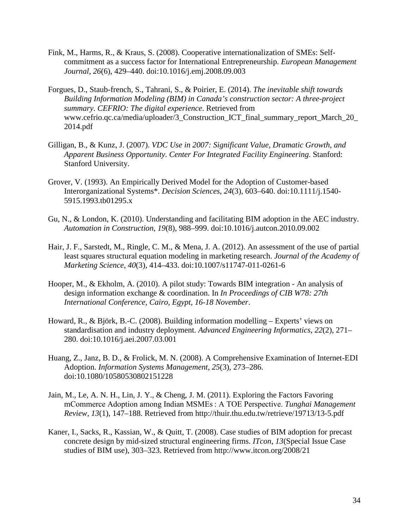- Fink, M., Harms, R., & Kraus, S. (2008). Cooperative internationalization of SMEs: Selfcommitment as a success factor for International Entrepreneurship. *European Management Journal*, *26*(6), 429–440. doi:10.1016/j.emj.2008.09.003
- Forgues, D., Staub-french, S., Tahrani, S., & Poirier, E. (2014). *The inevitable shift towards Building Information Modeling (BIM) in Canada's construction sector: A three-project summary*. *CEFRIO: The digital experience*. Retrieved from www.cefrio.qc.ca/media/uploader/3\_Construction\_ICT\_final\_summary\_report\_March\_20\_ 2014.pdf
- Gilligan, B., & Kunz, J. (2007). *VDC Use in 2007: Significant Value, Dramatic Growth, and Apparent Business Opportunity*. *Center For Integrated Facility Engineering*. Stanford: Stanford University.
- Grover, V. (1993). An Empirically Derived Model for the Adoption of Customer-based Interorganizational Systems\*. *Decision Sciences*, *24*(3), 603–640. doi:10.1111/j.1540- 5915.1993.tb01295.x
- Gu, N., & London, K. (2010). Understanding and facilitating BIM adoption in the AEC industry. *Automation in Construction*, *19*(8), 988–999. doi:10.1016/j.autcon.2010.09.002
- Hair, J. F., Sarstedt, M., Ringle, C. M., & Mena, J. A. (2012). An assessment of the use of partial least squares structural equation modeling in marketing research. *Journal of the Academy of Marketing Science*, *40*(3), 414–433. doi:10.1007/s11747-011-0261-6
- Hooper, M., & Ekholm, A. (2010). A pilot study: Towards BIM integration An analysis of design information exchange & coordination. In *In Proceedings of CIB W78: 27th International Conference, Cairo, Egypt, 16-18 November*.
- Howard, R., & Björk, B.-C. (2008). Building information modelling Experts' views on standardisation and industry deployment. *Advanced Engineering Informatics*, *22*(2), 271– 280. doi:10.1016/j.aei.2007.03.001
- Huang, Z., Janz, B. D., & Frolick, M. N. (2008). A Comprehensive Examination of Internet-EDI Adoption. *Information Systems Management*, *25*(3), 273–286. doi:10.1080/10580530802151228
- Jain, M., Le, A. N. H., Lin, J. Y., & Cheng, J. M. (2011). Exploring the Factors Favoring mCommerce Adoption among Indian MSMEs : A TOE Perspective. *Tunghai Management Review*, *13*(1), 147–188. Retrieved from http://thuir.thu.edu.tw/retrieve/19713/13-5.pdf
- Kaner, I., Sacks, R., Kassian, W., & Quitt, T. (2008). Case studies of BIM adoption for precast concrete design by mid-sized structural engineering firms. *ITcon*, *13*(Special Issue Case studies of BIM use), 303–323. Retrieved from http://www.itcon.org/2008/21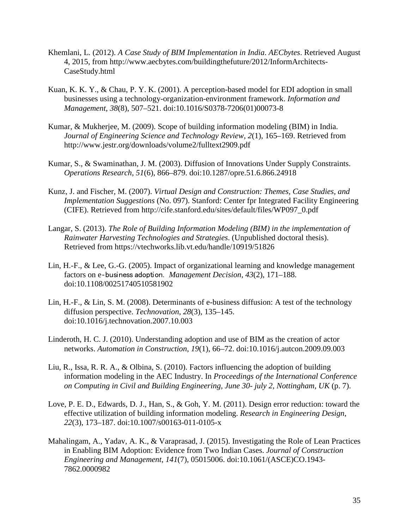- Khemlani, L. (2012). *A Case Study of BIM Implementation in India*. *AECbytes*. Retrieved August 4, 2015, from http://www.aecbytes.com/buildingthefuture/2012/InformArchitects-CaseStudy.html
- Kuan, K. K. Y., & Chau, P. Y. K. (2001). A perception-based model for EDI adoption in small businesses using a technology-organization-environment framework. *Information and Management*, *38*(8), 507–521. doi:10.1016/S0378-7206(01)00073-8
- Kumar, & Mukherjee, M. (2009). Scope of building information modeling (BIM) in India. *Journal of Engineering Science and Technology Review*, *2*(1), 165–169. Retrieved from http://www.jestr.org/downloads/volume2/fulltext2909.pdf
- Kumar, S., & Swaminathan, J. M. (2003). Diffusion of Innovations Under Supply Constraints. *Operations Research*, *51*(6), 866–879. doi:10.1287/opre.51.6.866.24918
- Kunz, J. and Fischer, M. (2007). *Virtual Design and Construction: Themes, Case Studies, and Implementation Suggestions* (No. 097). Stanford: Center fpr Integrated Facility Engineering (CIFE). Retrieved from http://cife.stanford.edu/sites/default/files/WP097\_0.pdf
- Langar, S. (2013). *The Role of Building Information Modeling (BIM) in the implementation of Rainwater Harvesting Technologies and Strategies*. (Unpublished doctoral thesis). Retrieved from https://vtechworks.lib.vt.edu/handle/10919/51826
- Lin, H.-F., & Lee, G.-G. (2005). Impact of organizational learning and knowledge management factors on e‐business adoption. *Management Decision*, *43*(2), 171–188. doi:10.1108/00251740510581902
- Lin, H.-F., & Lin, S. M. (2008). Determinants of e-business diffusion: A test of the technology diffusion perspective. *Technovation*, *28*(3), 135–145. doi:10.1016/j.technovation.2007.10.003
- Linderoth, H. C. J. (2010). Understanding adoption and use of BIM as the creation of actor networks. *Automation in Construction*, *19*(1), 66–72. doi:10.1016/j.autcon.2009.09.003
- Liu, R., Issa, R. R. A., & Olbina, S. (2010). Factors influencing the adoption of building information modeling in the AEC Industry. In *Proceedings of the International Conference on Computing in Civil and Building Engineering, June 30- july 2, Nottingham, UK* (p. 7).
- Love, P. E. D., Edwards, D. J., Han, S., & Goh, Y. M. (2011). Design error reduction: toward the effective utilization of building information modeling. *Research in Engineering Design*, *22*(3), 173–187. doi:10.1007/s00163-011-0105-x
- Mahalingam, A., Yadav, A. K., & Varaprasad, J. (2015). Investigating the Role of Lean Practices in Enabling BIM Adoption: Evidence from Two Indian Cases. *Journal of Construction Engineering and Management*, *141*(7), 05015006. doi:10.1061/(ASCE)CO.1943- 7862.0000982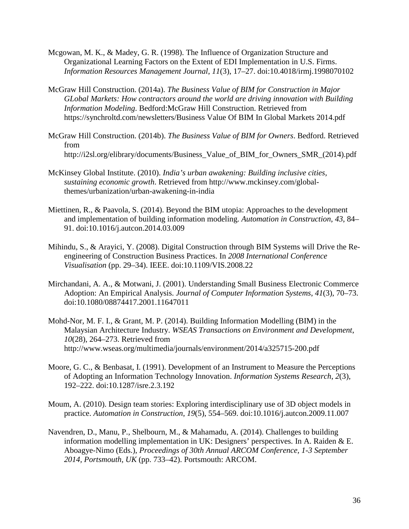- Mcgowan, M. K., & Madey, G. R. (1998). The Influence of Organization Structure and Organizational Learning Factors on the Extent of EDI Implementation in U.S. Firms. *Information Resources Management Journal*, *11*(3), 17–27. doi:10.4018/irmj.1998070102
- McGraw Hill Construction. (2014a). *The Business Value of BIM for Construction in Major GLobal Markets: How contractors around the world are driving innovation with Building Information Modeling*. Bedford:McGraw Hill Construction. Retrieved from https://synchroltd.com/newsletters/Business Value Of BIM In Global Markets 2014.pdf
- McGraw Hill Construction. (2014b). *The Business Value of BIM for Owners*. Bedford. Retrieved from http://i2sl.org/elibrary/documents/Business\_Value\_of\_BIM\_for\_Owners\_SMR\_(2014).pdf
- McKinsey Global Institute. (2010). *India's urban awakening: Building inclusive cities, sustaining economic growth*. Retrieved from http://www.mckinsey.com/globalthemes/urbanization/urban-awakening-in-india
- Miettinen, R., & Paavola, S. (2014). Beyond the BIM utopia: Approaches to the development and implementation of building information modeling. *Automation in Construction*, *43*, 84– 91. doi:10.1016/j.autcon.2014.03.009
- Mihindu, S., & Arayici, Y. (2008). Digital Construction through BIM Systems will Drive the Reengineering of Construction Business Practices. In *2008 International Conference Visualisation* (pp. 29–34). IEEE. doi:10.1109/VIS.2008.22
- Mirchandani, A. A., & Motwani, J. (2001). Understanding Small Business Electronic Commerce Adoption: An Empirical Analysis. *Journal of Computer Information Systems*, *41*(3), 70–73. doi:10.1080/08874417.2001.11647011
- Mohd-Nor, M. F. I., & Grant, M. P. (2014). Building Information Modelling (BIM) in the Malaysian Architecture Industry. *WSEAS Transactions on Environment and Development*, *10*(28), 264–273. Retrieved from http://www.wseas.org/multimedia/journals/environment/2014/a325715-200.pdf
- Moore, G. C., & Benbasat, I. (1991). Development of an Instrument to Measure the Perceptions of Adopting an Information Technology Innovation. *Information Systems Research*, *2*(3), 192–222. doi:10.1287/isre.2.3.192
- Moum, A. (2010). Design team stories: Exploring interdisciplinary use of 3D object models in practice. *Automation in Construction*, *19*(5), 554–569. doi:10.1016/j.autcon.2009.11.007
- Navendren, D., Manu, P., Shelbourn, M., & Mahamadu, A. (2014). Challenges to building information modelling implementation in UK: Designers' perspectives. In A. Raiden & E. Aboagye-Nimo (Eds.), *Proceedings of 30th Annual ARCOM Conference, 1-3 September 2014, Portsmouth, UK* (pp. 733–42). Portsmouth: ARCOM.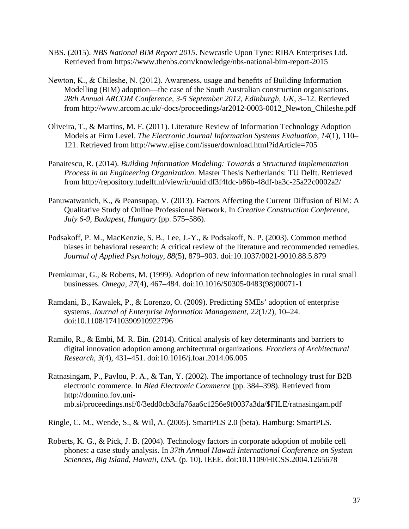- NBS. (2015). *NBS National BIM Report 2015*. Newcastle Upon Tyne: RIBA Enterprises Ltd. Retrieved from https://www.thenbs.com/knowledge/nbs-national-bim-report-2015
- Newton, K., & Chileshe, N. (2012). Awareness, usage and benefits of Building Information Modelling (BIM) adoption—the case of the South Australian construction organisations. *28th Annual ARCOM Conference, 3-5 September 2012, Edinburgh, UK*, 3–12. Retrieved from http://www.arcom.ac.uk/-docs/proceedings/ar2012-0003-0012\_Newton\_Chileshe.pdf
- Oliveira, T., & Martins, M. F. (2011). Literature Review of Information Technology Adoption Models at Firm Level. *The Electronic Journal Information Systems Evaluation*, *14*(1), 110– 121. Retrieved from http://www.ejise.com/issue/download.html?idArticle=705
- Panaitescu, R. (2014). *Building Information Modeling: Towards a Structured Implementation Process in an Engineering Organization*. Master Thesis Netherlands: TU Delft. Retrieved from http://repository.tudelft.nl/view/ir/uuid:df3f4fdc-b86b-48df-ba3c-25a22c0002a2/
- Panuwatwanich, K., & Peansupap, V. (2013). Factors Affecting the Current Diffusion of BIM: A Qualitative Study of Online Professional Network. In *Creative Construction Conference, July 6-9, Budapest, Hungary* (pp. 575–586).
- Podsakoff, P. M., MacKenzie, S. B., Lee, J.-Y., & Podsakoff, N. P. (2003). Common method biases in behavioral research: A critical review of the literature and recommended remedies. *Journal of Applied Psychology*, *88*(5), 879–903. doi:10.1037/0021-9010.88.5.879
- Premkumar, G., & Roberts, M. (1999). Adoption of new information technologies in rural small businesses. *Omega*, *27*(4), 467–484. doi:10.1016/S0305-0483(98)00071-1
- Ramdani, B., Kawalek, P., & Lorenzo, O. (2009). Predicting SMEs' adoption of enterprise systems. *Journal of Enterprise Information Management*, *22*(1/2), 10–24. doi:10.1108/17410390910922796
- Ramilo, R., & Embi, M. R. Bin. (2014). Critical analysis of key determinants and barriers to digital innovation adoption among architectural organizations. *Frontiers of Architectural Research*, *3*(4), 431–451. doi:10.1016/j.foar.2014.06.005
- Ratnasingam, P., Pavlou, P. A., & Tan, Y. (2002). The importance of technology trust for B2B electronic commerce. In *Bled Electronic Commerce* (pp. 384–398). Retrieved from http://domino.fov.unimb.si/proceedings.nsf/0/3edd0cb3dfa76aa6c1256e9f0037a3da/\$FILE/ratnasingam.pdf

Ringle, C. M., Wende, S., & Wil, A. (2005). SmartPLS 2.0 (beta). Hamburg: SmartPLS.

Roberts, K. G., & Pick, J. B. (2004). Technology factors in corporate adoption of mobile cell phones: a case study analysis. In *37th Annual Hawaii International Conference on System Sciences, Big Island, Hawaii, USA.* (p. 10). IEEE. doi:10.1109/HICSS.2004.1265678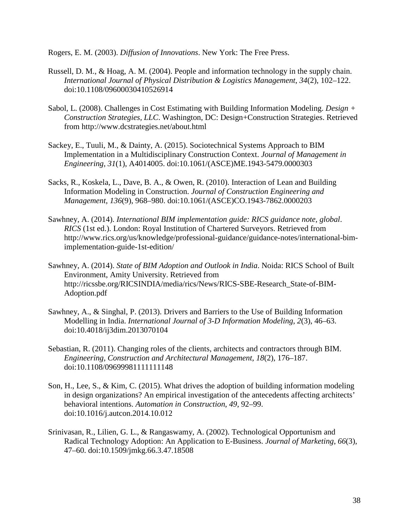Rogers, E. M. (2003). *Diffusion of Innovations*. New York: The Free Press.

- Russell, D. M., & Hoag, A. M. (2004). People and information technology in the supply chain. *International Journal of Physical Distribution & Logistics Management*, *34*(2), 102–122. doi:10.1108/09600030410526914
- Sabol, L. (2008). Challenges in Cost Estimating with Building Information Modeling. *Design + Construction Strategies, LLC*. Washington, DC: Design+Construction Strategies. Retrieved from http://www.dcstrategies.net/about.html
- Sackey, E., Tuuli, M., & Dainty, A. (2015). Sociotechnical Systems Approach to BIM Implementation in a Multidisciplinary Construction Context. *Journal of Management in Engineering*, *31*(1), A4014005. doi:10.1061/(ASCE)ME.1943-5479.0000303
- Sacks, R., Koskela, L., Dave, B. A., & Owen, R. (2010). Interaction of Lean and Building Information Modeling in Construction. *Journal of Construction Engineering and Management*, *136*(9), 968–980. doi:10.1061/(ASCE)CO.1943-7862.0000203
- Sawhney, A. (2014). *International BIM implementation guide: RICS guidance note, global*. *RICS* (1st ed.). London: Royal Institution of Chartered Surveyors. Retrieved from http://www.rics.org/us/knowledge/professional-guidance/guidance-notes/international-bimimplementation-guide-1st-edition/
- Sawhney, A. (2014). *State of BIM Adoption and Outlook in India*. Noida: RICS School of Built Environment, Amity University. Retrieved from http://ricssbe.org/RICSINDIA/media/rics/News/RICS-SBE-Research\_State-of-BIM-Adoption.pdf
- Sawhney, A., & Singhal, P. (2013). Drivers and Barriers to the Use of Building Information Modelling in India. *International Journal of 3-D Information Modeling*, *2*(3), 46–63. doi:10.4018/ij3dim.2013070104
- Sebastian, R. (2011). Changing roles of the clients, architects and contractors through BIM. *Engineering, Construction and Architectural Management*, *18*(2), 176–187. doi:10.1108/09699981111111148
- Son, H., Lee, S., & Kim, C. (2015). What drives the adoption of building information modeling in design organizations? An empirical investigation of the antecedents affecting architects' behavioral intentions. *Automation in Construction*, *49*, 92–99. doi:10.1016/j.autcon.2014.10.012
- Srinivasan, R., Lilien, G. L., & Rangaswamy, A. (2002). Technological Opportunism and Radical Technology Adoption: An Application to E-Business. *Journal of Marketing*, *66*(3), 47–60. doi:10.1509/jmkg.66.3.47.18508